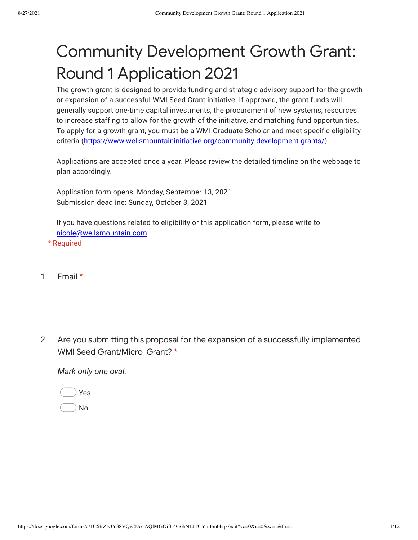## Community Development Growth Grant: Round 1 Application 2021

The growth grant is designed to provide funding and strategic advisory support for the growth or expansion of a successful WMI Seed Grant initiative. If approved, the grant funds will generally support one-time capital investments, the procurement of new systems, resources to increase staffing to allow for the growth of the initiative, and matching fund opportunities. To apply for a growth grant, you must be a WMI Graduate Scholar and meet specific eligibility criteria ([https://www.wellsmountaininitiative.org/community-development-grants/](https://www.google.com/url?q=https://www.wellsmountaininitiative.org/community-development-grants/&sa=D&source=editors&ust=1630093864679000&usg=AFQjCNH51gRjD7BO_Og3TUc3WuAQPsRM9Q)).

Applications are accepted once a year. Please review the detailed timeline on the webpage to plan accordingly.

Application form opens: Monday, September 13, 2021 Submission deadline: Sunday, October 3, 2021

If you have questions related to eligibility or this application form, please write to [nicole@wellsmountain.com.](mailto:nicole@wellsmountain.com)

\* Required

1. Email \*

2. Are you submitting this proposal for the expansion of a successfully implemented WMI Seed Grant/Micro-Grant? \*

*Mark only one oval.*

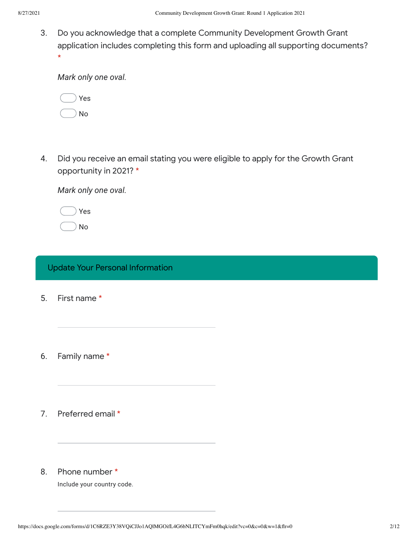3. Do you acknowledge that a complete Community Development Growth Grant application includes completing this form and uploading all supporting documents? \*

*Mark only one oval.*

|  | Yes |
|--|-----|
|  | √ი  |

4. Did you receive an email stating you were eligible to apply for the Growth Grant opportunity in 2021? \*

*Mark only one oval.*

|  | Yes |
|--|-----|
|  | N٥  |

## Update Your Personal Information

- 5. First name \*
- 6. Family name \*
- 7. Preferred email \*

## 8. Phone number \*

Include your country code.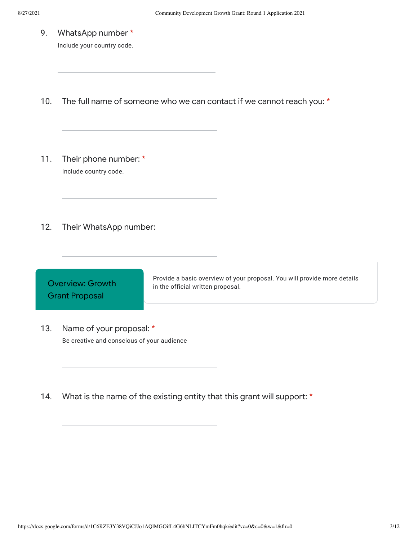9. WhatsApp number \*

Include your country code.

- 10. The full name of someone who we can contact if we cannot reach you: \*
- 11. Their phone number: \* Include country code.
- 12. Their WhatsApp number:



- 13. Name of your proposal: \* Be creative and conscious of your audience
- 14. What is the name of the existing entity that this grant will support: \*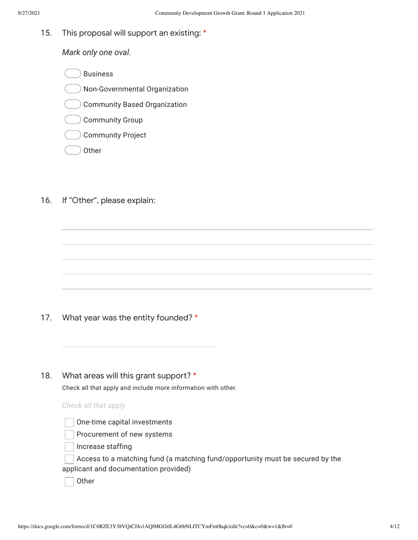15. This proposal will support an existing: \*

*Mark only one oval.*

Business

- Non-Governmental Organization
- Community Based Organization
- Community Group
- Community Project
- **Other**
- 16. If "Other", please explain:

- 17. What year was the entity founded? \*
- 18. What areas will this grant support? \*

Check all that apply and include more information with other.

|  | Check all that apply. |  |  |  |
|--|-----------------------|--|--|--|
|--|-----------------------|--|--|--|

One-time capital investments

Procurement of new systems

Increase staffing

Access to a matching fund (a matching fund/opportunity must be secured by the applicant and documentation provided)

**Other**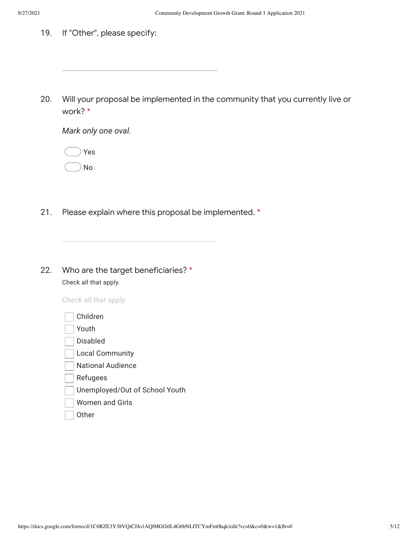19. If "Other", please specify:

20. Will your proposal be implemented in the community that you currently live or work? \*

*Mark only one oval.*

|  | Yes |
|--|-----|
|  | N٥  |

- 21. Please explain where this proposal be implemented. \*
- 22. Who are the target beneficiaries? \* Check all that apply.

*Check all that apply.*

| Children                       |
|--------------------------------|
| Youth                          |
| Disabled                       |
| <b>Local Community</b>         |
| <b>National Audience</b>       |
| Refugees                       |
| Unemployed/Out of School Youth |
| <b>Women and Girls</b>         |
| 0ther                          |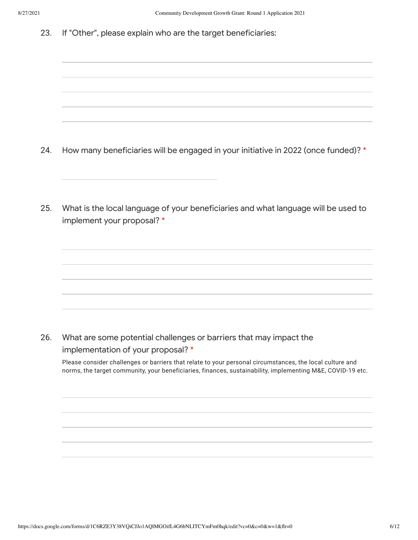23. If "Other", please explain who are the target beneficiaries:

- 24. How many beneficiaries will be engaged in your initiative in 2022 (once funded)? \*
- 25. What is the local language of your beneficiaries and what language will be used to implement your proposal? \*

26. What are some potential challenges or barriers that may impact the implementation of your proposal? \*

Please consider challenges or barriers that relate to your personal circumstances, the local culture and norms, the target community, your beneficiaries, finances, sustainability, implementing M&E, COVID-19 etc.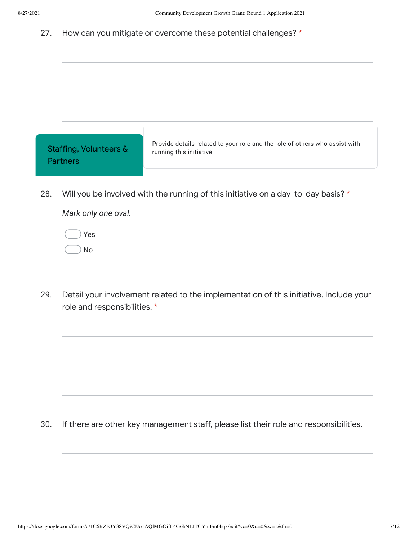27. How can you mitigate or overcome these potential challenges? \*

| Staffing, Volunteers &<br><b>Partners</b> | Provide details related to your role and the role of others who assist with<br>running this initiative. |
|-------------------------------------------|---------------------------------------------------------------------------------------------------------|
| 28.                                       | Will you be involved with the running of this initiative on a day-to-day basis? *                       |

*Mark only one oval.*

Yes No

29. Detail your involvement related to the implementation of this initiative. Include your role and responsibilities. \*

30. If there are other key management staff, please list their role and responsibilities.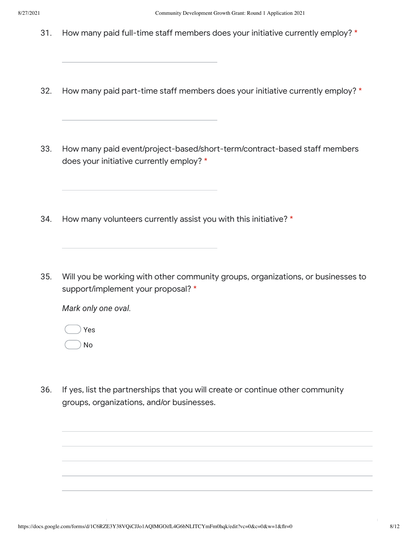- 31. How many paid full-time staff members does your initiative currently employ? \*
- 32. How many paid part-time staff members does your initiative currently employ? \*
- 33. How many paid event/project-based/short-term/contract-based staff members does your initiative currently employ? \*
- 34. How many volunteers currently assist you with this initiative? \*
- 35. Will you be working with other community groups, organizations, or businesses to support/implement your proposal? \*

*Mark only one oval.*

Yes No

36. If yes, list the partnerships that you will create or continue other community groups, organizations, and/or businesses.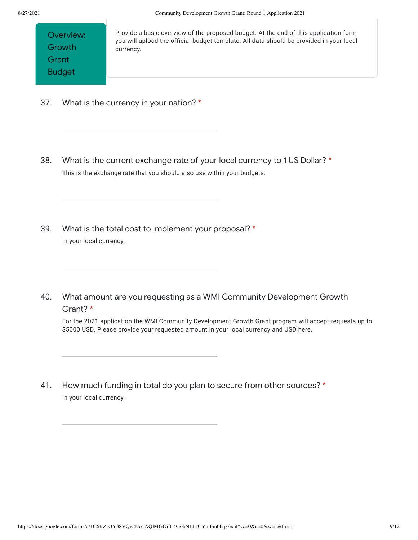Provide a basic overview of the proposed budget. At the end of this application form you will upload the official budget template. All data should be provided in your local currency.

- 37. What is the currency in your nation? \*
- 38. What is the current exchange rate of your local currency to 1 US Dollar? \* This is the exchange rate that you should also use within your budgets.
- 39. What is the total cost to implement your proposal? \* In your local currency.
- 40. What amount are you requesting as a WMI Community Development Growth Grant? \*

For the 2021 application the WMI Community Development Growth Grant program will accept requests up to \$5000 USD. Please provide your requested amount in your local currency and USD here.

41. How much funding in total do you plan to secure from other sources? \* In your local currency.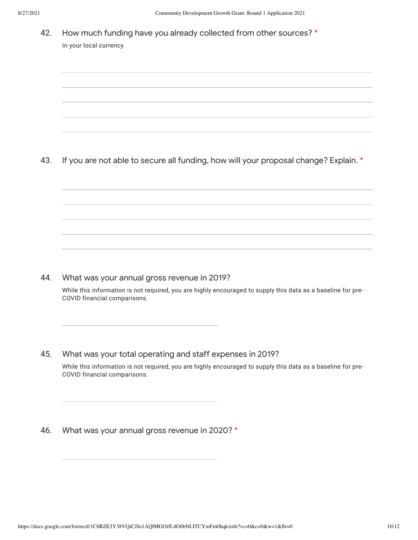42. How much funding have you already collected from other sources? \* In your local currency.

43. If you are not able to secure all funding, how will your proposal change? Explain. \*

44. What was your annual gross revenue in 2019?

> While this information is not required, you are highly encouraged to supply this data as a baseline for pre-COVID financial comparisons.

45. What was your total operating and staff expenses in 2019?

While this information is not required, you are highly encouraged to supply this data as a baseline for pre-COVID financial comparisons.

46. What was your annual gross revenue in 2020? \*